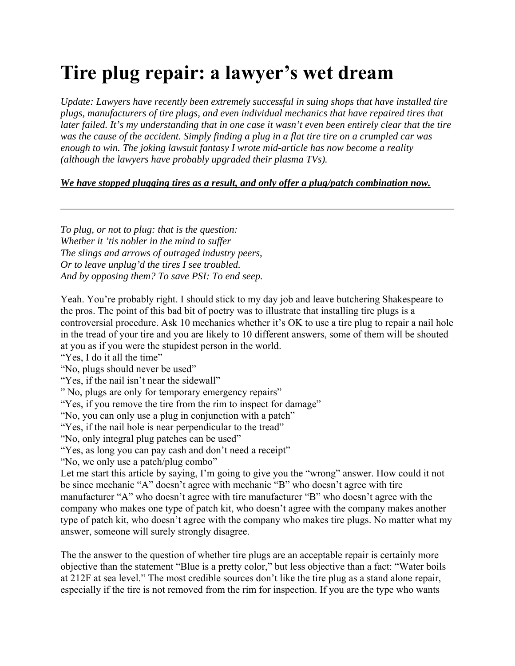## **Tire plug repair: a lawyer's wet dream**

*Update: Lawyers have recently been extremely successful in suing shops that have installed tire plugs, manufacturers of tire plugs, and even individual mechanics that have repaired tires that later failed. It's my understanding that in one case it wasn't even been entirely clear that the tire was the cause of the accident. Simply finding a plug in a flat tire tire on a crumpled car was enough to win. The joking lawsuit fantasy I wrote mid-article has now become a reality (although the lawyers have probably upgraded their plasma TVs).* 

## *We have stopped plugging tires as a result, and only offer a plug/patch combination now.*

*To plug, or not to plug: that is the question: Whether it 'tis nobler in the mind to suffer The slings and arrows of outraged industry peers, Or to leave unplug'd the tires I see troubled. And by opposing them? To save PSI: To end seep.*

Yeah. You're probably right. I should stick to my day job and leave butchering Shakespeare to the pros. The point of this bad bit of poetry was to illustrate that installing tire plugs is a controversial procedure. Ask 10 mechanics whether it's OK to use a tire plug to repair a nail hole in the tread of your tire and you are likely to 10 different answers, some of them will be shouted at you as if you were the stupidest person in the world.

"Yes, I do it all the time"

"No, plugs should never be used"

"Yes, if the nail isn't near the sidewall"

" No, plugs are only for temporary emergency repairs"

"Yes, if you remove the tire from the rim to inspect for damage"

"No, you can only use a plug in conjunction with a patch"

"Yes, if the nail hole is near perpendicular to the tread"

"No, only integral plug patches can be used"

"Yes, as long you can pay cash and don't need a receipt"

"No, we only use a patch/plug combo"

Let me start this article by saying, I'm going to give you the "wrong" answer. How could it not be since mechanic "A" doesn't agree with mechanic "B" who doesn't agree with tire manufacturer "A" who doesn't agree with tire manufacturer "B" who doesn't agree with the company who makes one type of patch kit, who doesn't agree with the company makes another type of patch kit, who doesn't agree with the company who makes tire plugs. No matter what my answer, someone will surely strongly disagree.

The the answer to the question of whether tire plugs are an acceptable repair is certainly more objective than the statement "Blue is a pretty color," but less objective than a fact: "Water boils at 212F at sea level." The most credible sources don't like the tire plug as a stand alone repair, especially if the tire is not removed from the rim for inspection. If you are the type who wants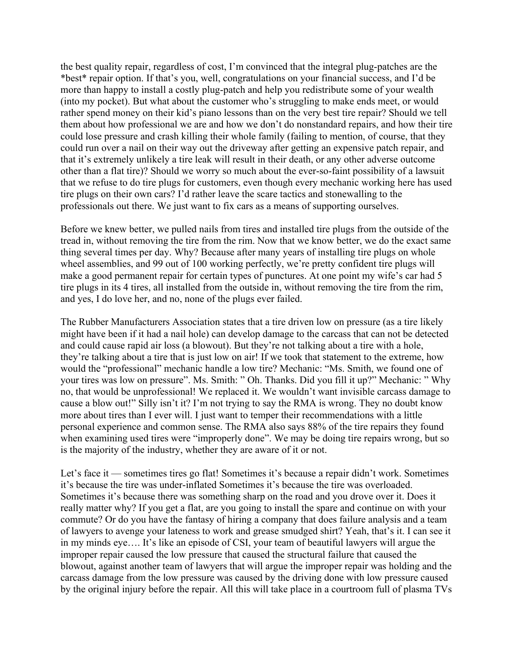the best quality repair, regardless of cost, I'm convinced that the integral plug-patches are the \*best\* repair option. If that's you, well, congratulations on your financial success, and I'd be more than happy to install a costly plug-patch and help you redistribute some of your wealth (into my pocket). But what about the customer who's struggling to make ends meet, or would rather spend money on their kid's piano lessons than on the very best tire repair? Should we tell them about how professional we are and how we don't do nonstandard repairs, and how their tire could lose pressure and crash killing their whole family (failing to mention, of course, that they could run over a nail on their way out the driveway after getting an expensive patch repair, and that it's extremely unlikely a tire leak will result in their death, or any other adverse outcome other than a flat tire)? Should we worry so much about the ever-so-faint possibility of a lawsuit that we refuse to do tire plugs for customers, even though every mechanic working here has used tire plugs on their own cars? I'd rather leave the scare tactics and stonewalling to the professionals out there. We just want to fix cars as a means of supporting ourselves.

Before we knew better, we pulled nails from tires and installed tire plugs from the outside of the tread in, without removing the tire from the rim. Now that we know better, we do the exact same thing several times per day. Why? Because after many years of installing tire plugs on whole wheel assemblies, and 99 out of 100 working perfectly, we're pretty confident tire plugs will make a good permanent repair for certain types of punctures. At one point my wife's car had 5 tire plugs in its 4 tires, all installed from the outside in, without removing the tire from the rim, and yes, I do love her, and no, none of the plugs ever failed.

The Rubber Manufacturers Association states that a tire driven low on pressure (as a tire likely might have been if it had a nail hole) can develop damage to the carcass that can not be detected and could cause rapid air loss (a blowout). But they're not talking about a tire with a hole, they're talking about a tire that is just low on air! If we took that statement to the extreme, how would the "professional" mechanic handle a low tire? Mechanic: "Ms. Smith, we found one of your tires was low on pressure". Ms. Smith: " Oh. Thanks. Did you fill it up?" Mechanic: " Why no, that would be unprofessional! We replaced it. We wouldn't want invisible carcass damage to cause a blow out!" Silly isn't it? I'm not trying to say the RMA is wrong. They no doubt know more about tires than I ever will. I just want to temper their recommendations with a little personal experience and common sense. The RMA also says 88% of the tire repairs they found when examining used tires were "improperly done". We may be doing tire repairs wrong, but so is the majority of the industry, whether they are aware of it or not.

Let's face it — sometimes tires go flat! Sometimes it's because a repair didn't work. Sometimes it's because the tire was under-inflated Sometimes it's because the tire was overloaded. Sometimes it's because there was something sharp on the road and you drove over it. Does it really matter why? If you get a flat, are you going to install the spare and continue on with your commute? Or do you have the fantasy of hiring a company that does failure analysis and a team of lawyers to avenge your lateness to work and grease smudged shirt? Yeah, that's it. I can see it in my minds eye…. It's like an episode of CSI, your team of beautiful lawyers will argue the improper repair caused the low pressure that caused the structural failure that caused the blowout, against another team of lawyers that will argue the improper repair was holding and the carcass damage from the low pressure was caused by the driving done with low pressure caused by the original injury before the repair. All this will take place in a courtroom full of plasma TVs